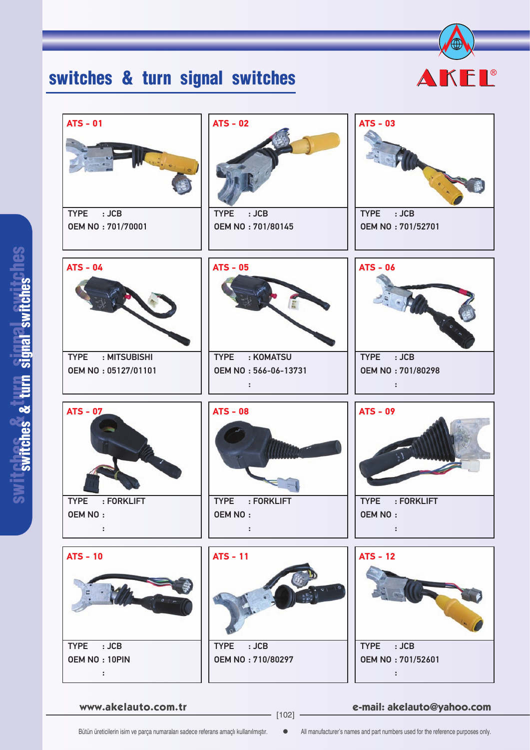## switches & turn signal switches



| $ATS - 01$<br>TYPE : JCB<br>OEM NO: 701/70001                    | $ATS - 02$<br>:JCB<br><b>TYPE</b><br><b>OEM NO: 701/80145</b>             | $ATS - 03$<br>TYPE : JCB<br>OEM NO: 701/52701             |
|------------------------------------------------------------------|---------------------------------------------------------------------------|-----------------------------------------------------------|
| $ATS - 04$<br>: MITSUBISHI<br><b>TYPE</b><br>OEM NO: 05127/01101 | <b>ATS - 05</b><br>: KOMATSU<br><b>TYPE</b><br>OEM NO: 566-06-13731<br>÷. | $ATS - 06$<br>TYPE : JCB<br>OEM NO: 701/80298<br>÷,       |
| <b>ATS - 07</b>                                                  | <b>ATS - 08</b>                                                           | <b>ATS - 09</b>                                           |
| <b>TYPE</b><br>: FORKLIFT<br><b>OEM NO:</b><br>$\sim 10$         | <b>TYPE</b><br>: FORKLIFT<br><b>OEM NO:</b><br>$\sim$ 100                 | <b>TYPE</b><br>: FORKLIFT<br><b>OEM NO:</b><br>$\sim$ 100 |

**www.akelauto.com.tr e-mail: akelauto@yahoo.com** [102]